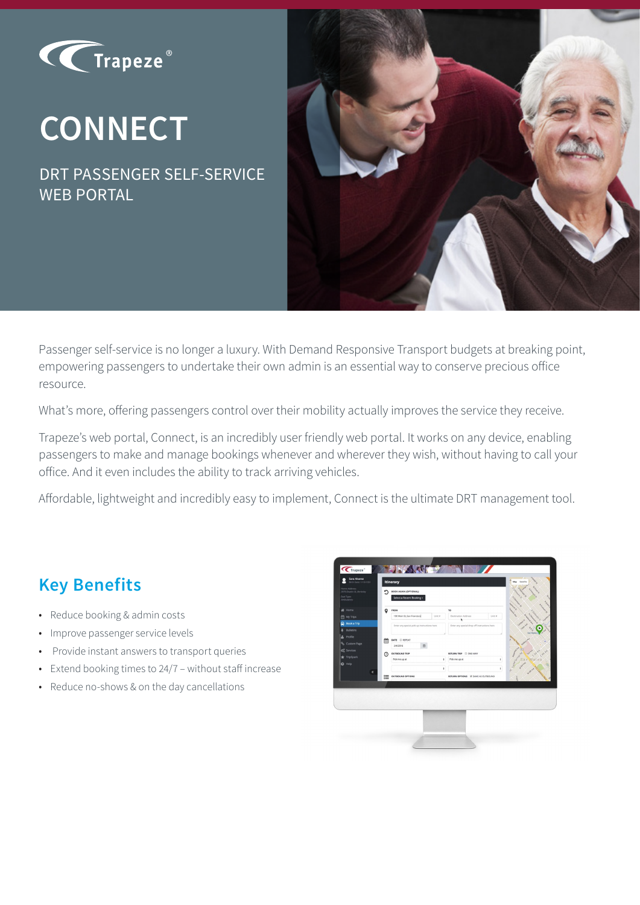

# **CONNECT**

DRT PASSENGER SELF-SERVICE WEB PORTAL



Passenger self-service is no longer a luxury. With Demand Responsive Transport budgets at breaking point, empowering passengers to undertake their own admin is an essential way to conserve precious office resource.

What's more, offering passengers control over their mobility actually improves the service they receive.

Trapeze's web portal, Connect, is an incredibly user friendly web portal. It works on any device, enabling passengers to make and manage bookings whenever and wherever they wish, without having to call your office. And it even includes the ability to track arriving vehicles.

Affordable, lightweight and incredibly easy to implement, Connect is the ultimate DRT management tool.

#### **Key Benefits**

- Reduce booking & admin costs
- Improve passenger service levels
- Provide instant answers to transport queries
- Extend booking times to 24/7 without staff increase
- Reduce no-shows & on the day cancellations